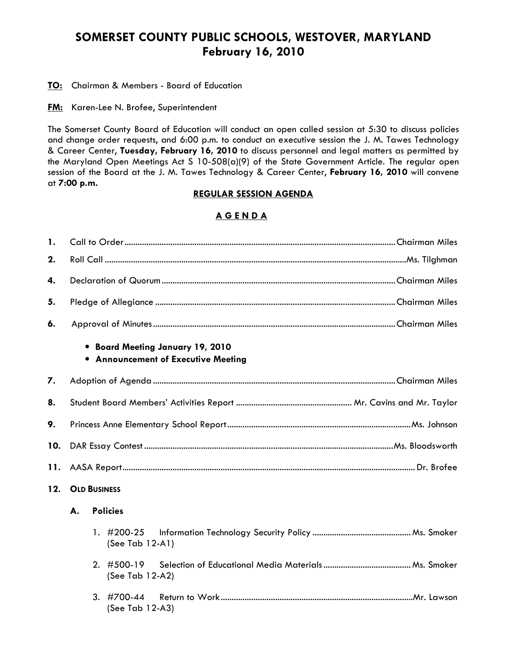# SOMERSET COUNTY PUBLIC SCHOOLS, WESTOVER, MARYLAND February 16, 2010

**TO:** Chairman & Members - Board of Education

**FM:** Karen-Lee N. Brofee, Superintendent

The Somerset County Board of Education will conduct an open called session at 5:30 to discuss policies and change order requests, and 6:00 p.m. to conduct an executive session the J. M. Tawes Technology & Career Center, Tuesday, February 16, 2010 to discuss personnel and legal matters as permitted by the Maryland Open Meetings Act S 10-508(a)(9) of the State Government Article. The regular open session of the Board at the J. M. Tawes Technology & Career Center, February 16, 2010 will convene at 7:00 p.m.

### REGULAR SESSION AGENDA

## A G E N D A

| $\mathbf{1}$ . |                     |  |                                                                         |  |  |  |  |
|----------------|---------------------|--|-------------------------------------------------------------------------|--|--|--|--|
| 2.             |                     |  |                                                                         |  |  |  |  |
| 4.             |                     |  |                                                                         |  |  |  |  |
| 5.             |                     |  |                                                                         |  |  |  |  |
| 6.             |                     |  |                                                                         |  |  |  |  |
|                |                     |  | • Board Meeting January 19, 2010<br>• Announcement of Executive Meeting |  |  |  |  |
| 7.             |                     |  |                                                                         |  |  |  |  |
| 8.             |                     |  |                                                                         |  |  |  |  |
| 9.             |                     |  |                                                                         |  |  |  |  |
| 10.            |                     |  |                                                                         |  |  |  |  |
| 11.            |                     |  |                                                                         |  |  |  |  |
| 12.            | <b>OLD BUSINESS</b> |  |                                                                         |  |  |  |  |
|                | A.                  |  | <b>Policies</b>                                                         |  |  |  |  |
|                |                     |  | 1.#200-25<br>(See Tab 12-A1)                                            |  |  |  |  |
|                |                     |  | 2. $\#500-19$<br>(See Tab 12-A2)                                        |  |  |  |  |
|                |                     |  | $3.$ #700-44<br>(See Tab 12-A3)                                         |  |  |  |  |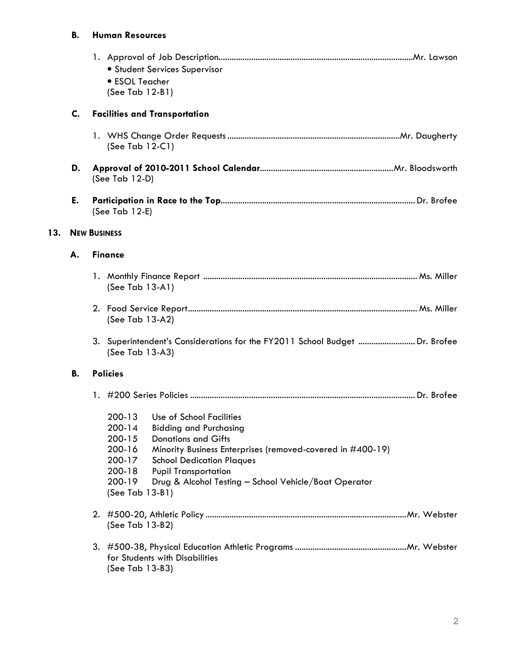# B. Human Resources

 $13.$ 

|     |    | • Student Services Supervisor<br>• ESOL Teacher<br>(See Tab 12-B1)                                                                                                                                                                                                                                                                                                                     |  |  |  |  |  |  |
|-----|----|----------------------------------------------------------------------------------------------------------------------------------------------------------------------------------------------------------------------------------------------------------------------------------------------------------------------------------------------------------------------------------------|--|--|--|--|--|--|
|     | C. | <b>Facilities and Transportation</b>                                                                                                                                                                                                                                                                                                                                                   |  |  |  |  |  |  |
|     |    | (See Tab $12-C1$ )                                                                                                                                                                                                                                                                                                                                                                     |  |  |  |  |  |  |
|     | D. | (See Tab $12-D$ )                                                                                                                                                                                                                                                                                                                                                                      |  |  |  |  |  |  |
|     | E. | (See Tab 12-E)                                                                                                                                                                                                                                                                                                                                                                         |  |  |  |  |  |  |
| 13. |    | <b>NEW BUSINESS</b>                                                                                                                                                                                                                                                                                                                                                                    |  |  |  |  |  |  |
|     | А. | <b>Finance</b>                                                                                                                                                                                                                                                                                                                                                                         |  |  |  |  |  |  |
|     |    | (See Tab 13-A1)                                                                                                                                                                                                                                                                                                                                                                        |  |  |  |  |  |  |
|     |    | (See Tab 13-A2)                                                                                                                                                                                                                                                                                                                                                                        |  |  |  |  |  |  |
|     |    | 3. Superintendent's Considerations for the FY2011 School Budget  Dr. Brofee<br>(See Tab 13-A3)                                                                                                                                                                                                                                                                                         |  |  |  |  |  |  |
|     | В. | <b>Policies</b>                                                                                                                                                                                                                                                                                                                                                                        |  |  |  |  |  |  |
|     |    |                                                                                                                                                                                                                                                                                                                                                                                        |  |  |  |  |  |  |
|     |    | $200 - 13$<br>Use of School Facilities<br>$200 - 14$<br><b>Bidding and Purchasing</b><br>200-15<br><b>Donations and Gifts</b><br>200-16<br>Minority Business Enterprises (removed-covered in #400-19)<br>200-17<br><b>School Dedication Plaques</b><br>$200 - 18$<br><b>Pupil Transportation</b><br>200-19<br>Drug & Alcohol Testing - School Vehicle/Boat Operator<br>(See Tab 13-B1) |  |  |  |  |  |  |
|     |    | (See Tab 13-B2)                                                                                                                                                                                                                                                                                                                                                                        |  |  |  |  |  |  |
|     |    | for Students with Disabilities<br>(See Tab 13-B3)                                                                                                                                                                                                                                                                                                                                      |  |  |  |  |  |  |